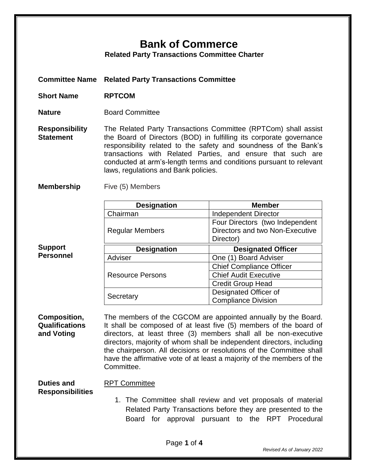## **Bank of Commerce**

**Related Party Transactions Committee Charter**

**Committee Name Related Party Transactions Committee**

- **Short Name RPTCOM**
- **Nature Board Committee**

**Responsibility Statement** The Related Party Transactions Committee (RPTCom) shall assist the Board of Directors (BOD) in fulfilling its corporate governance responsibility related to the safety and soundness of the Bank's transactions with Related Parties, and ensure that such are conducted at arm's-length terms and conditions pursuant to relevant laws, regulations and Bank policies.

**Membership** Five (5) Members

**Support Personnel**

| <b>Designation</b>      | <b>Member</b>                   |
|-------------------------|---------------------------------|
| Chairman                | <b>Independent Director</b>     |
| <b>Regular Members</b>  | Four Directors (two Independent |
|                         | Directors and two Non-Executive |
|                         | Director)                       |
| <b>Designation</b>      | <b>Designated Officer</b>       |
| Adviser                 | One (1) Board Adviser           |
| <b>Resource Persons</b> | <b>Chief Compliance Officer</b> |
|                         | <b>Chief Audit Executive</b>    |
|                         | <b>Credit Group Head</b>        |
| Secretary               | Designated Officer of           |
|                         | <b>Compliance Division</b>      |

**Composition, Qualifications and Voting** The members of the CGCOM are appointed annually by the Board. It shall be composed of at least five (5) members of the board of directors, at least three (3) members shall all be non-executive directors, majority of whom shall be independent directors, including the chairperson. All decisions or resolutions of the Committee shall have the affirmative vote of at least a majority of the members of the Committee.

**Duties and Responsibilities** RPT Committee

1. The Committee shall review and vet proposals of material Related Party Transactions before they are presented to the Board for approval pursuant to the RPT Procedural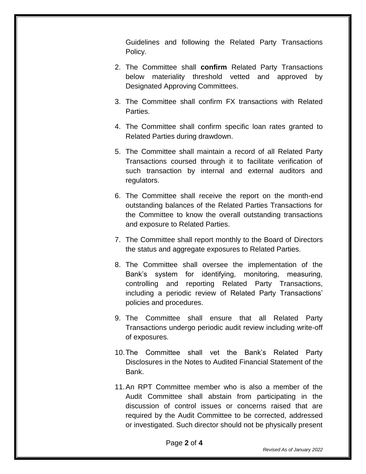Guidelines and following the Related Party Transactions Policy.

- 2. The Committee shall **confirm** Related Party Transactions below materiality threshold vetted and approved by Designated Approving Committees.
- 3. The Committee shall confirm FX transactions with Related Parties.
- 4. The Committee shall confirm specific loan rates granted to Related Parties during drawdown.
- 5. The Committee shall maintain a record of all Related Party Transactions coursed through it to facilitate verification of such transaction by internal and external auditors and regulators.
- 6. The Committee shall receive the report on the month-end outstanding balances of the Related Parties Transactions for the Committee to know the overall outstanding transactions and exposure to Related Parties.
- 7. The Committee shall report monthly to the Board of Directors the status and aggregate exposures to Related Parties.
- 8. The Committee shall oversee the implementation of the Bank's system for identifying, monitoring, measuring, controlling and reporting Related Party Transactions, including a periodic review of Related Party Transactions' policies and procedures.
- 9. The Committee shall ensure that all Related Party Transactions undergo periodic audit review including write-off of exposures.
- 10.The Committee shall vet the Bank's Related Party Disclosures in the Notes to Audited Financial Statement of the Bank.
- 11.An RPT Committee member who is also a member of the Audit Committee shall abstain from participating in the discussion of control issues or concerns raised that are required by the Audit Committee to be corrected, addressed or investigated. Such director should not be physically present